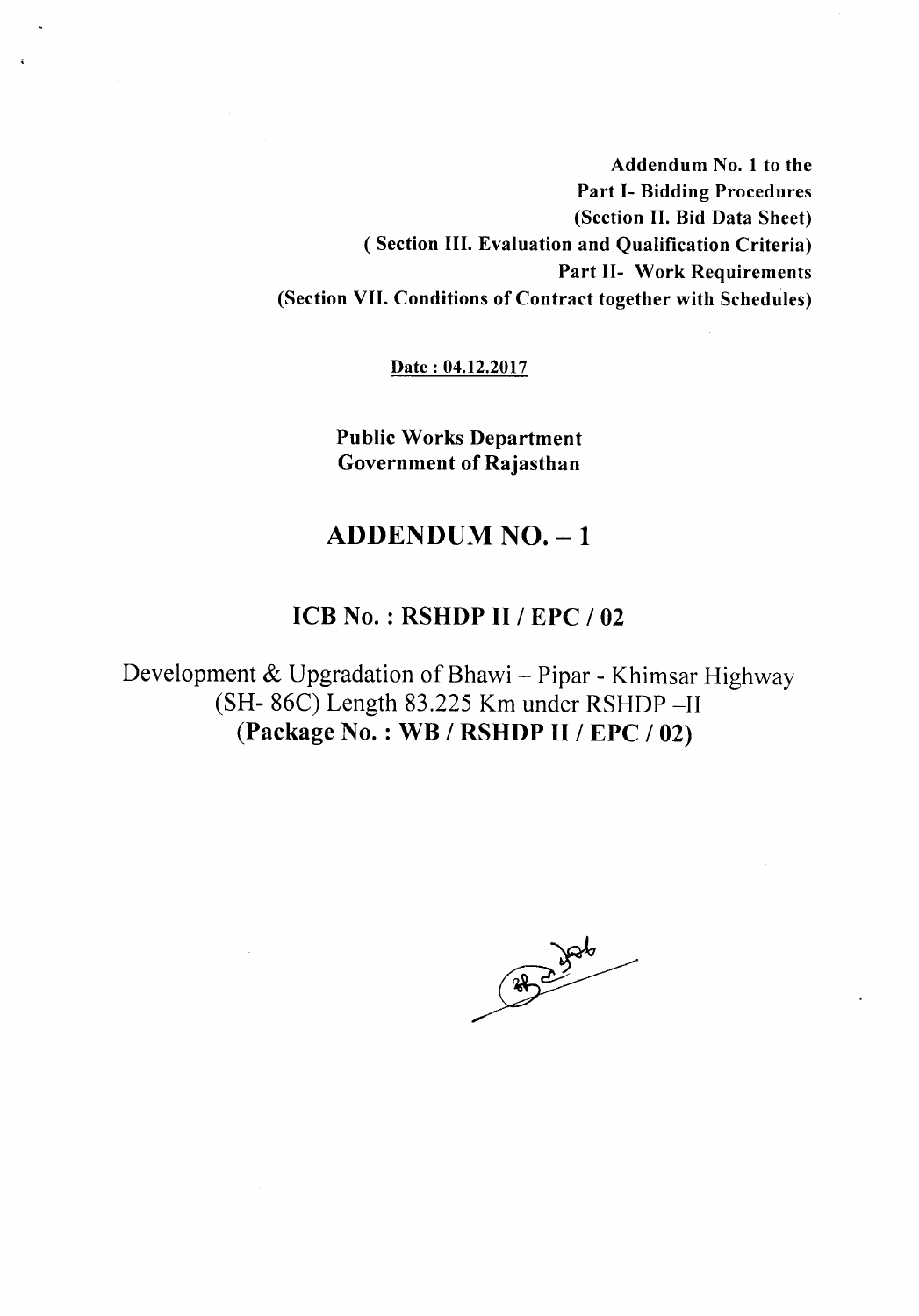Addendum No.1 to the Part 1- Bidding Procedures (Section II.Bid Data Sheet) ( Section III. Evaluation and Qualification Criteria) Part 11- Work Requirements (Section VII. Conditions of Contract together with Schedules)

Date: 04.12.2017

Public Works Department Government of Rajasthan

# $ADDENDUM NO. - 1$

### ICB No. : RSHDP II / EPC /02

Development & Upgradation of Bhawi - Pipar - Khimsar Highway (SH- 86C) Length 83.225 Km under RSHDP -II (Package No. : WB / RSHDP II / EPC / 02)

88 2 306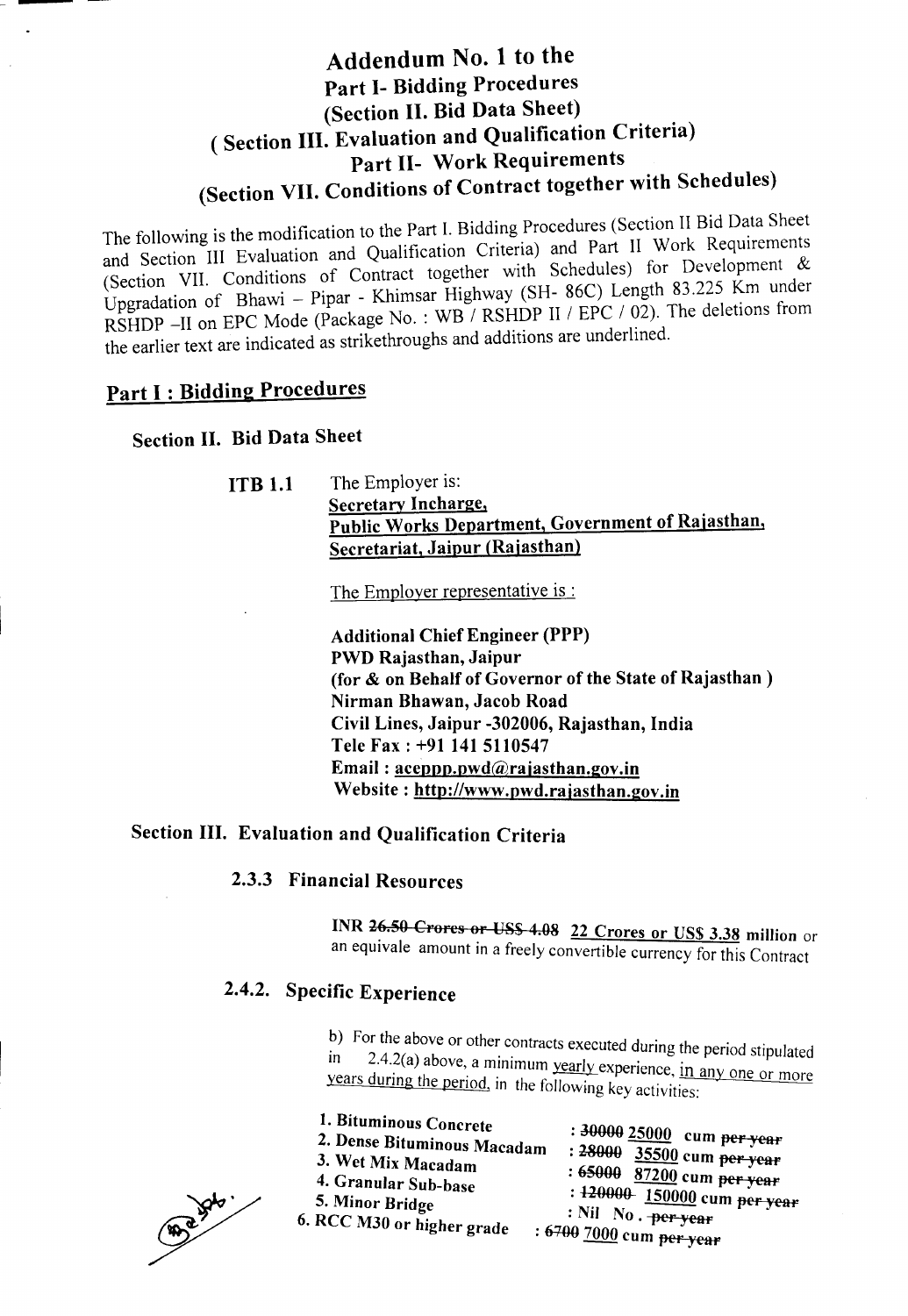# Addendum No.1 to the Part 1- Bidding Procedures (Section II. Bid Data Sheet) ( Section III. Evaluation and Qualification Criteria) Part 11- Work Requirements (Section VII. Conditions of Contract together with Schedules)

The following is the modification to the Part 1. Bidding Procedures (Section II Bid Data Sheet and Section III Evaluation and Qualification Criteria) and Part II Work Requirements (Section VII. Conditions of Contract together with Schedules) for Development & Up gradation of Bhawi - Pipar - Khimsar Highway (SH- 86C) Length 83.225 Km under RSHDP -II on EPC Mode (Package No. : WB / RSHDP II / EPC / 02). The deletions from the earlier text are indicated as strikethroughs and additions are underlined.

# Part I: Bidding Procedures

#### Section II. Bid Data Sheet

**ITB 1.1** The Employer is: Secretary Incharge, Public Works Department, Government of Rajasthan, Secretariat, Jaipur (Rajasthan)

The Employer representative is :

Additional Chief Engineer (PPP) PWD Rajasthan, Jaipur (for & on Behalf of Governor of the State of Rajasthan) Nirman Bhawan, Jacob Road Civil Lines, Jaipur -302006, Rajasthan, India Tele Fax: +91 141 5110547 Email:  $aceppp.pwd@rajasthan.gov.in$ Website: http://www.pwd.rajasthan.gov.in

### Section III. Evaluation and Qualification Criteria

### 2.3.3 Financial Resources

INR 26.50 Crores or US\$ 4.08 22 Crores or US\$ 3.38 million or an equivale amount in a freely convertible currency for this Contract

## 2.4.2. Specific Experience

b) For the above or other contracts executed during the period stipulated in  $2.42(a)$  above a minimum sumple in  $\ln$  2.4.2(a) above, a minimum vector dating the period stipulated years during the period in the following the perience, in any one or more years during the period, in the following key activities: